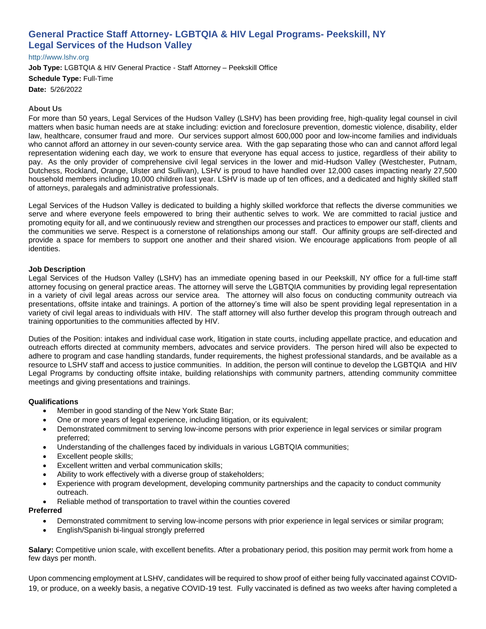# **General Practice Staff Attorney- LGBTQIA & HIV Legal Programs- Peekskill, NY Legal Services of the Hudson Valley**

[http://www.lshv.org](http://www.lshv.org/)

**Job Type:** LGBTQIA & HIV General Practice - Staff Attorney – Peekskill Office **Schedule Type:** Full-Time **Date:** 5/26/2022

## **About Us**

For more than 50 years, Legal Services of the Hudson Valley (LSHV) has been providing free, high-quality legal counsel in civil matters when basic human needs are at stake including: eviction and foreclosure prevention, domestic violence, disability, elder law, healthcare, consumer fraud and more. Our services support almost 600,000 poor and low-income families and individuals who cannot afford an attorney in our seven-county service area. With the gap separating those who can and cannot afford legal representation widening each day, we work to ensure that everyone has equal access to justice, regardless of their ability to pay. As the only provider of comprehensive civil legal services in the lower and mid-Hudson Valley (Westchester, Putnam, Dutchess, Rockland, Orange, Ulster and Sullivan), LSHV is proud to have handled over 12,000 cases impacting nearly 27,500 household members including 10,000 children last year. LSHV is made up of ten offices, and a dedicated and highly skilled staff of attorneys, paralegals and administrative professionals.

Legal Services of the Hudson Valley is dedicated to building a highly skilled workforce that reflects the diverse communities we serve and where everyone feels empowered to bring their authentic selves to work. We are committed to racial justice and promoting equity for all, and we continuously review and strengthen our processes and practices to empower our staff, clients and the communities we serve. Respect is a cornerstone of relationships among our staff. Our affinity groups are self-directed and provide a space for members to support one another and their shared vision. We encourage applications from people of all identities.

#### **Job Description**

Legal Services of the Hudson Valley (LSHV) has an immediate opening based in our Peekskill, NY office for a full-time staff attorney focusing on general practice areas. The attorney will serve the LGBTQIA communities by providing legal representation in a variety of civil legal areas across our service area. The attorney will also focus on conducting community outreach via presentations, offsite intake and trainings. A portion of the attorney's time will also be spent providing legal representation in a variety of civil legal areas to individuals with HIV. The staff attorney will also further develop this program through outreach and training opportunities to the communities affected by HIV.

Duties of the Position: intakes and individual case work, litigation in state courts, including appellate practice, and education and outreach efforts directed at community members, advocates and service providers. The person hired will also be expected to adhere to program and case handling standards, funder requirements, the highest professional standards, and be available as a resource to LSHV staff and access to justice communities. In addition, the person will continue to develop the LGBTQIA and HIV Legal Programs by conducting offsite intake, building relationships with community partners, attending community committee meetings and giving presentations and trainings.

#### **Qualifications**

- Member in good standing of the New York State Bar;
- One or more years of legal experience, including litigation, or its equivalent;
- Demonstrated commitment to serving low-income persons with prior experience in legal services or similar program preferred;
- Understanding of the challenges faced by individuals in various LGBTQIA communities;
- Excellent people skills;
- Excellent written and verbal communication skills;
- Ability to work effectively with a diverse group of stakeholders;
- Experience with program development, developing community partnerships and the capacity to conduct community outreach.
- Reliable method of transportation to travel within the counties covered

#### **Preferred**

- Demonstrated commitment to serving low-income persons with prior experience in legal services or similar program;
- English/Spanish bi-lingual strongly preferred

**Salary:** Competitive union scale, with excellent benefits. After a probationary period, this position may permit work from home a few days per month.

Upon commencing employment at LSHV, candidates will be required to show proof of either being fully vaccinated against COVID-19, or produce, on a weekly basis, a negative COVID-19 test. Fully vaccinated is defined as two weeks after having completed a